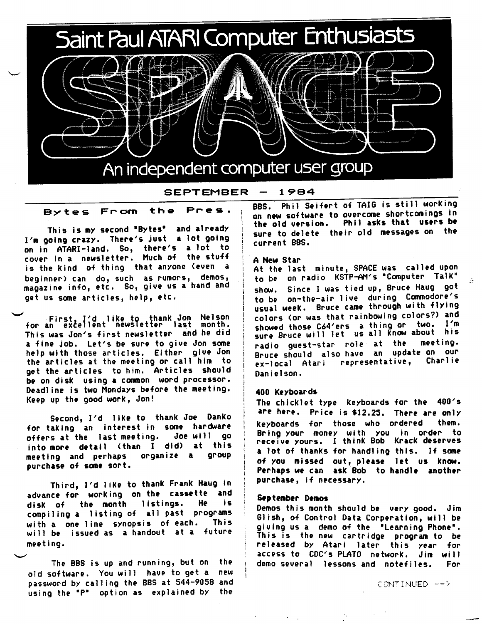

#### SEPTEMBER 1984

### Bytes From the Pres.

This is *my* second •Bytes• and already I'm going crazy. There's just a lot going on in ATARI-land. So, there's a lot to cover in a newsletter. Much of the stuff is the kind of thing that anyone (even a beginner) can do, such as rumors, demos, magazine info, etc. So, give us a hand and get us some articles, help, etc.

First, I'd like to \hank Jon Nelson for an excellent news1et er last month. This was Jon's first newsletter and he did <sup>a</sup>fine job. Let's be sure to give Jon some help with those articles. Either give Jon the articles at the meeting or call him to get the articles to him. Articles should be on disk using a common word processor. Deadline is two Mondays before the meeting. Keep up the good work, Jon!

Second, I'd like to thank Joe Danko for taking an interest in some hardware<br>offers\_at\_the\_last\_meeting,\_\_\_Joe\_will\_\_qo offers at the last meeting. into **more dttail (than** I **did) at** this meeting and perhaps organize a purchase of some sort.

Third, I'd 1 ike to thank Frank Haug in advance for working on the cassette and<br>disk of the month listings. He is disk of the month listings. He compiling a listing of all past programs with a one line synopsis of each. This will be issued **as a** handout at a future meeting.

The BBS is up and running, but on the old software. You will have to get a new password by calling the BBS at 544-9058 and using the "P" option as explained by the

**BBS.** Phil Seifert of TAIG is still working on new software to overcome shortcomings in the old version. Phil asks that users be sure to delete their old messages on the current BBS.

### A New Star

At the last minute, SPACE was called upon to be on radio KSTP-AM's "Computer Talk" show. Since I was tied up, Bruce Haug go<sup>t</sup> to be on-the-air live during Commodore's usual week. Bruce came through with flying colors (or was that rainbowing colors?) and showed those C64'ers a thing or two. I'm sure Bruce will let us all know about his radio guest-star role at the meeting. Bruce should also have an update on our<br>explosel Atari, representative, Charlie ex-local Atari representative, Danielson.

### **400 Keyboards**

The chicklet type keyboards for the 400's are here. Price is \$12.25. There are only keyboards for those who ordered them. Bring your money with you in order to receive yours. I think Bob Krack **deserves**  <sup>a</sup>lot of thanks for handling this. If some of You missed out, please let us know. Perhaps we can ask Bob to handle another purchase, if necessary.

### **September Demos**

Demos this month should be very good. Jim Glish, of Control Data Corperation, will be giving us a demo of the "Learning Phone". This is the new cartridge program to be released by Atari later this year for access to CDC's PLATO network. Jim will demo several lessons and notefiles. For

CONTINUED -->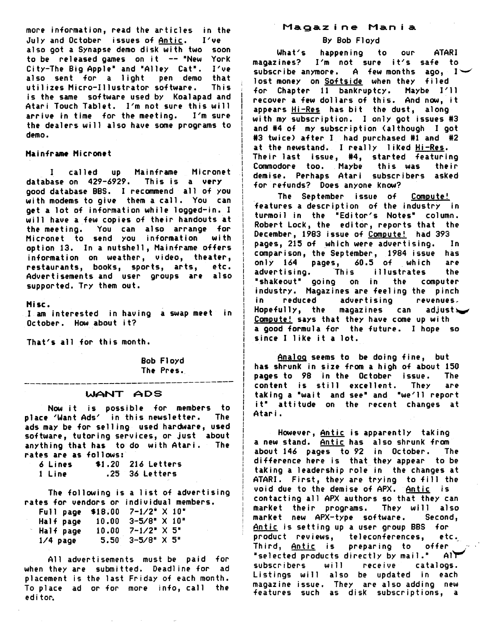more information, read the articles in the July and October issues of <u>Antic</u>. I've also got a Synapse demo disk with two soon to be released games on it -- "New York City-The Big Apple" and "Alley Cat". I've also sent for a light pen demo that<br>utilizes Micro-Illustrator software. This utilizes Micro-Illustrator software. is the same software used by Koalapad and Atari Touch Tablet. I'm not sure this will arrive in time for the meeting. I'm sure the dealers will also have some programs to demo.

### Mainframe Micronet

I called up Mainframe Micronet database on 429-6929. This is **a very**  good database BBS. I recommend all of you with moderns to give them a call. You can *get* a lot of information while logged-in. I will have a few copies of their handouts at the meeting. You can also arrange for Micronet to send you information with option 13. In a nutshell, Mainframe offers information on weather, video, theater, restaurants, books, sports, arts, *etc.*  Advertisements and user groups are also supported. Try them out.

**Hise.** 

I am *interested* in having a swap *meet* in October. How about it?

That's all for this month.

Bob Floyd The Pres. i I I ! I i ! ! i I I I I I I I I

I I I I I I I i I I i i ! i )

# ------------------------------------- **WANT ADS**

Now it is possible for members to place 'Want Ads' in this newsletter. ads may be for selling used hardware, used software, tutoring services, or just about anything that has to do with Atari. The rates **are as** follows:

6 Lines \$1,20 216 Letters 1 Line .25 *36* Letters

The following is a list of advertising rates for vendors or individual members. Full **page** \$18.00 7-1/2• X 10•

| Half page  | $10.00$ $3-5/8$ $\times$ $10$ $\times$ |  |  |
|------------|----------------------------------------|--|--|
| Half page  | $10.00$ $7-1/2$ $\times$ 5"            |  |  |
| $1/4$ page | $5.50$ $3-5/8$ " $\times$ 5"           |  |  |

All advertisements must be paid for when they are submitted. Deadline for ad placement is the last Friday of each month. To place ad or for *more* info, ca11 the editor.

## **Magazine Mania**

### **By Bob** Floyd

What's happening to our ATARI magazines? I'm not sure it's safe to subscribe anymore. A few months ago,  $1\vee$ lost *money* on Softside when they filed for Chapter 11 bankruptcy. Maybe I'll recover a few dollars of this, And now, it appears Hi-Res has bit the dust, along with my subscription. I only got issues #3 and #4 of my subscription (although I got #3 twice) after I had purchased #1 and #2 at the newstand. I really 1 iked Hi-Res. Their last issue, 14, started featuring Commodore too. Maybe this was their demise. Perhaps Atari subscribers asked for refunds? Does anyone know?

The September issue of Compute! features a description of the industry in turmoil in the "Editor's Notes" column. Robert Lock, the editor, reports that the **December,** 1983 issue of Compute! had 393 **pages,** 215 of which *were* advertising. In comparison, the September, 1984 issue has only 164 pages, 60.5 of which are advertising. This illustrates the ~shakeout• going on in the computer industry, Magazines are feeling the pinch in reduced advertising revenues, Hopefully, the magazines can adjust $\sim$ Compute! says that they have come up with a good formula for the future. I hope so since I like it a lot.

Analog seems to be doing fine, but has shrunk in size from a high of about 150<br>**pages to 98** in the October issue. The<br>content is still excellent. They are <sup>1</sup>taking a •wait and see• and •we <sup>11</sup>report I it• attitude on the *recent* changes at <sup>I</sup>**Atari.** 

However, Antic is apparently taking a new stand. Antic has also shrunk from about 146 pages to 92 in October. The difference *here* is that they appear to be taking a leadership role in the changes at ATARI. First, they are trying to fill the void due to the demise of APX. Antic is contacting a11 APX authors so that they can market their programs. They will also market new APX-type software. Second Antic is setting up a user group BBS for ' product reviews, teleconferences, *etc.*  Third, <u>Antic</u> is preparing to offer  $\mathbb{Z}_{2^{\prime}}$ "selected products directly by mail."  $A1$ subscribers will *receive* catalogs. Listings will also be updated in each magazine issue. They are also adding new features such as disk subscriptions, a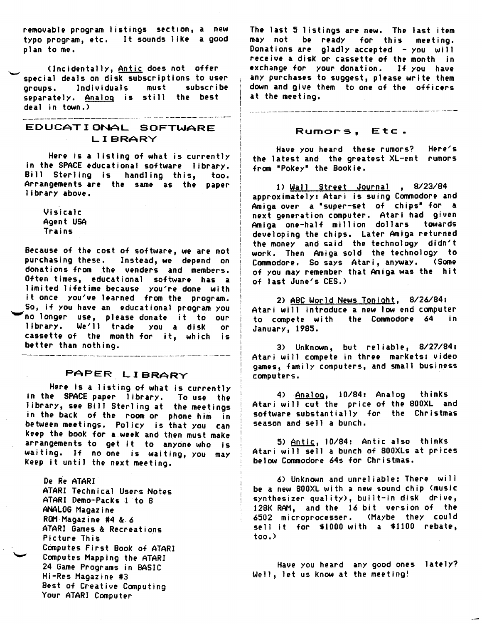removable program listings section, a new typo program, etc. It sounds like a goo<sup>d</sup> plan to me.

(Incidentally, Antic does not offer special deals on disk subscriptions to user groups. Individuals must subscribe separately, Analog is still the best deal in town,)

.<br>In the clay does now also map now with man was was later with man vice man vice clay you who was vice was were with the man

# EDUCATIONAL SOFTWARE LIBRARY

*Here* is a listing of what is currently in the SPACE educational software library. Bill Sterling is handling this, too. Arrangements are the same as the paper library above.

Visicalc Agent USA Trains

Because of the cost of software, we are not purchasing these. Instead, we depend on donations from the venders and members. Often times, educational software has <sup>a</sup> limited lifetime because you're done with it once you've learned from the program. So, if you have an educational program you ~no longer use, please donate it to our library. We'll trade you a disk or cassette of the month for it, which is better than nothing.

# PAPER LIBRARY

--------------------------------

*Here* is a listing of what is currently in the SPACE paper library. To use the library, see Bill Sterling at the meetings in the back of the room or phone him in between meetings. Policy is that you can keep the book for a week and then must make arrangements to get it to anyone who is waiting, If no one is waiting, you may keep it until the next meeting.

De Re ATARI ATARI Technical Users Notes ATARI Demo-Packs 1 to 8 ANALOG Magazine ROM-Magazine #4 & 6 ATARI Games & Recreations Picture This Computes First Book of ATARI Computes Mapping the ATARI 24 Game Programs in BASIC Hi-Res Magazine #3 Best of Creative Computing Your ATARI Computer

The last 5 listings are new. The last item may not be ready for this meeting. Donations are gladly accepted - you will receive a disk or cassette of the month in exchange for your donation. If you have any purchases to suggest, **please** write them down and give them to one of the officers at the meeting.

### Rumors, Etc.

.<br>In the case was also were the self and the case and also add and was the self and the case was the case of the self and the the case of the case of the self and the case of the case of

Have you heard these rumors? Here's the latest and the greatest XL-ent rumors from •Pokey• the Bookie,

l) Wall Street Journal , 8/23/84 approximately: Atari is suing Commodore and Amiga over a "super-set of chips" for a next generation computer. Atari had given Amiga one-half million dollars towards developing the chips. Later Amiga returned the money and said the technology didn't work, Then Amiga sold the technology to Commodore. So says Atari, anyWay. **(Some**  of you may remember that **Amiga** was the hit of last June's CES.)

2) ABC World News Tonight, 8/26/84: Atari will introduce a new low end computer to compete with the Commodore 64 in January, 1985.

3) Unknown, but reliable, 8/27/84: Atari will compete in three markets: video games, family computers, and small business computers.

4) Analog, 10/84: Analog thinks Atari will cut the price of the 800XL and software substantially for the Christmas season and sell a bunch.

5) Antic, 10/84: Antic also thinks Atari will sell a bunch of B00XLs at prices below Commodore 64s for Christmas.

6) Unknown and unreliable: There will be a new 800XL with a new sound chip <music synthesizer quality), built-in disk drive, 128K RAM, and the 16 bit version of the 6502 microprocesser. (Maybe they could sell it for \$1000 with a \$1100 rebate, too.)

Have you heard any good ones lately? Well, let us know at the meeting!